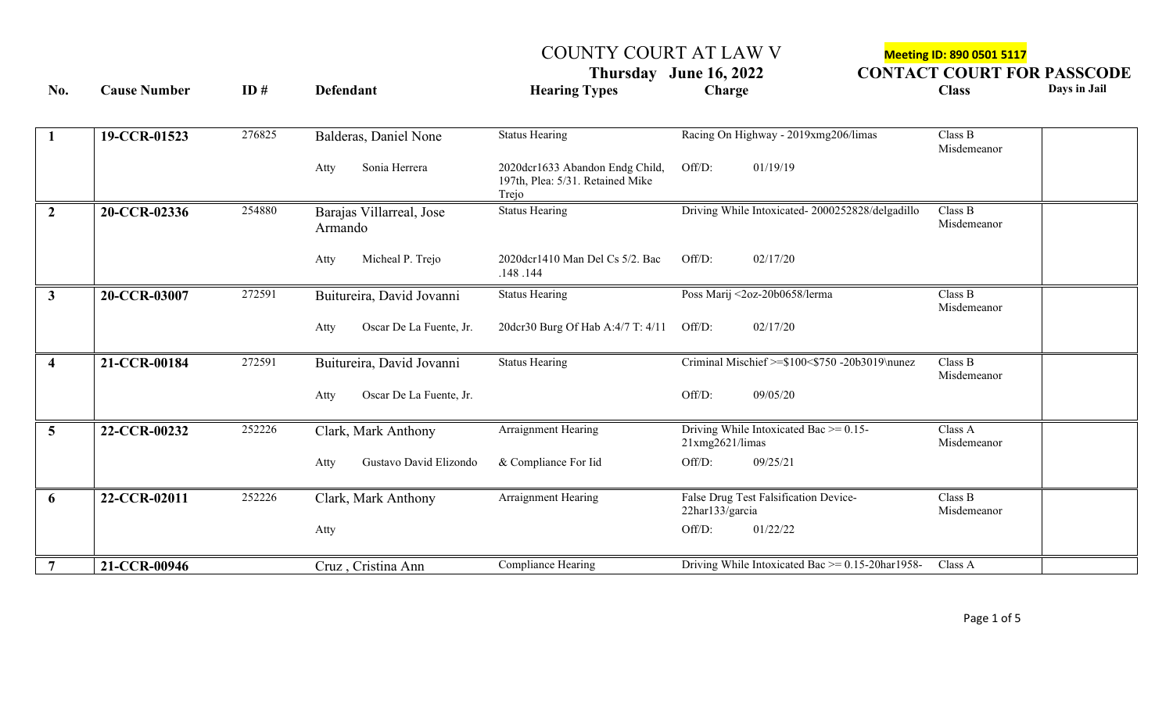COUNTY COURT AT LAW V<br> **Meeting ID: 890 0501 5117**<br> **CONTACT COURT FO THURSDAY COURT FOR PASSCODE** 

| No.<br><b>Cause Number</b> |              | ID#    | <b>Defendant</b>                    | <b>Hearing Types</b>                                                         | Charge                                                         | <b>Class</b>           | Days in Jail |
|----------------------------|--------------|--------|-------------------------------------|------------------------------------------------------------------------------|----------------------------------------------------------------|------------------------|--------------|
| $\mathbf{1}$               | 19-CCR-01523 | 276825 | Balderas, Daniel None               | <b>Status Hearing</b>                                                        | Racing On Highway - 2019xmg206/limas                           | Class B<br>Misdemeanor |              |
|                            |              |        | Sonia Herrera<br>Atty               | 2020dcr1633 Abandon Endg Child,<br>197th, Plea: 5/31. Retained Mike<br>Trejo | 01/19/19<br>Off/D:                                             |                        |              |
| 2 <sup>1</sup>             | 20-CCR-02336 | 254880 | Barajas Villarreal, Jose<br>Armando | Status Hearing                                                               | Driving While Intoxicated-2000252828/delgadillo                | Class B<br>Misdemeanor |              |
|                            |              |        | Micheal P. Trejo<br>Atty            | 2020dcr1410 Man Del Cs 5/2. Bac<br>.148.144                                  | Off/D:<br>02/17/20                                             |                        |              |
| 3 <sup>7</sup>             | 20-CCR-03007 | 272591 | Buitureira, David Jovanni           | <b>Status Hearing</b>                                                        | Poss Marij <2oz-20b0658/lerma                                  | Class B<br>Misdemeanor |              |
|                            |              |        | Oscar De La Fuente, Jr.<br>Atty     | 20dcr30 Burg Of Hab A:4/7 T: 4/11                                            | Off/D:<br>02/17/20                                             |                        |              |
| $\overline{\mathbf{4}}$    | 21-CCR-00184 | 272591 | Buitureira, David Jovanni           | <b>Status Hearing</b>                                                        | Criminal Mischief >=\$100<\$750 -20b3019\nunez                 | Class B<br>Misdemeanor |              |
|                            |              |        | Oscar De La Fuente, Jr.<br>Atty     |                                                                              | Off/D:<br>09/05/20                                             |                        |              |
| 5 <sup>1</sup>             | 22-CCR-00232 | 252226 | Clark, Mark Anthony                 | Arraignment Hearing                                                          | Driving While Intoxicated Bac $\ge$ = 0.15-<br>21xmg2621/limas | Class A<br>Misdemeanor |              |
|                            |              |        | Gustavo David Elizondo<br>Atty      | & Compliance For Iid                                                         | Off/D:<br>09/25/21                                             |                        |              |
| 6                          | 22-CCR-02011 | 252226 | Clark, Mark Anthony                 | Arraignment Hearing                                                          | False Drug Test Falsification Device-<br>22har133/garcia       | Class B<br>Misdemeanor |              |
|                            |              |        | Atty                                |                                                                              | 01/22/22<br>Off/D:                                             |                        |              |
| 7                          | 21-CCR-00946 |        | Cruz, Cristina Ann                  | Compliance Hearing                                                           | Driving While Intoxicated Bac $\ge$ = 0.15-20har1958-          | Class A                |              |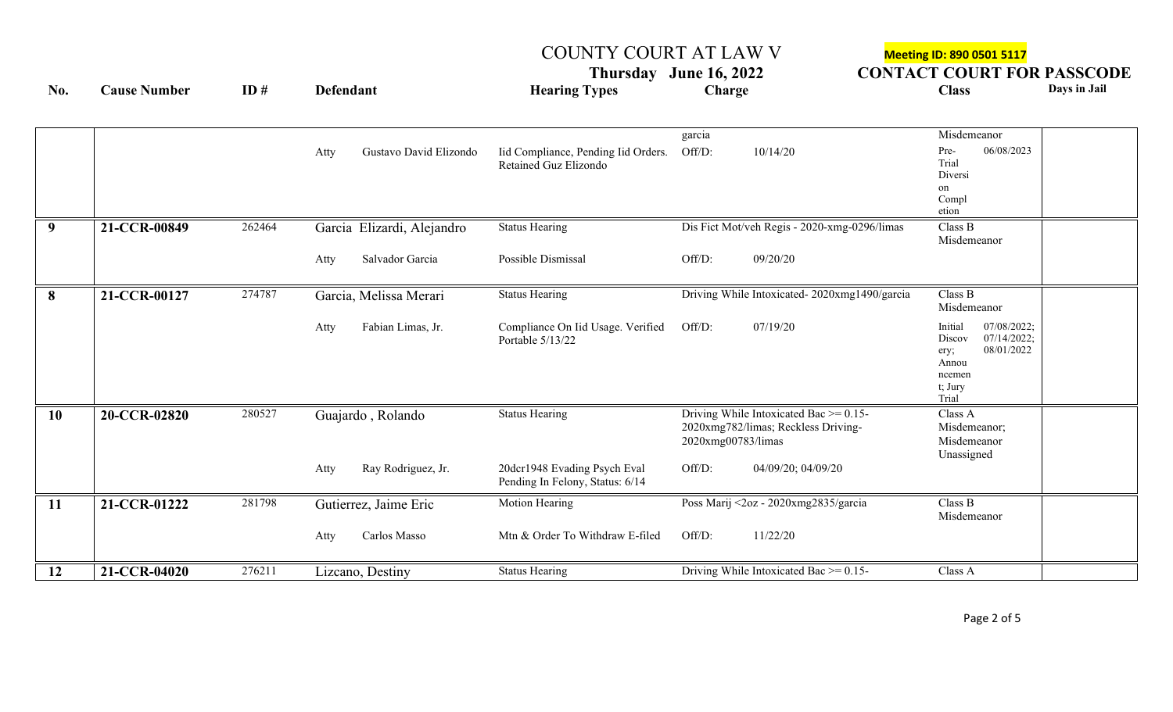## COUNTY COURT AT LAW V Meeting ID: 890 0501 5117

**Thursday** June 16, 2022 CONTACT COURT FOR PASSCODE<br>
Charge Charge Class Days in Jail **No. Cause Number ID # Defendant Hearing Types Charge Class Days in Jail** garcia Misdemeanor Atty Gustavo David Elizondo Iid Compliance, Pending Iid Orders. Retained Guz Elizondo Off/D:  $10/14/20$  Pre-Trial Diversi on Compl etion 06/08/2023 **9 21-CCR-00849** 262464 Garcia Elizardi, Alejandro Status Hearing Dis Fict Mot/veh Regis - 2020-xmg-0296/limas Class B Misdemeanor Atty Salvador Garcia Possible Dismissal Off/D: 09/20/20 **8 21-CCR-00127** 274787 Garcia, Melissa Merari Status Hearing Driving While Intoxicated- 2020xmg1490/garcia Class B Misdemeanor Atty Fabian Limas, Jr. Compliance On Iid Usage. Verified Portable 5/13/22 Off/D: 07/19/20 Initial Discov ery; Annou ncemen t; Jury Trial 07/08/2022; 07/14/2022; 08/01/2022 10 **20-CCR-02820** 280527 Guajardo, Rolando Status Hearing Driving While Intoxicated Bac >= 0.15-2020xmg782/limas; Reckless Driving-2020xmg00783/limas Class A Misdemeanor; Misdemeanor Unassigned Atty Ray Rodriguez, Jr. 20dcr1948 Evading Psych Eval Pending In Felony, Status: 6/14 Off/D: 04/09/20; 04/09/20 **11 21-CCR-01222** 281798 Gutierrez, Jaime Eric Motion Hearing Poss Marij <2oz - 2020xmg2835/garcia Class B Misdemeanor Atty Carlos Masso Mtn & Order To Withdraw E-filed Off/D: 11/22/20 **12 21-CCR-04020** 276211 Lizcano, Destiny Status Hearing Driving While Intoxicated Bac >= 0.15- Class A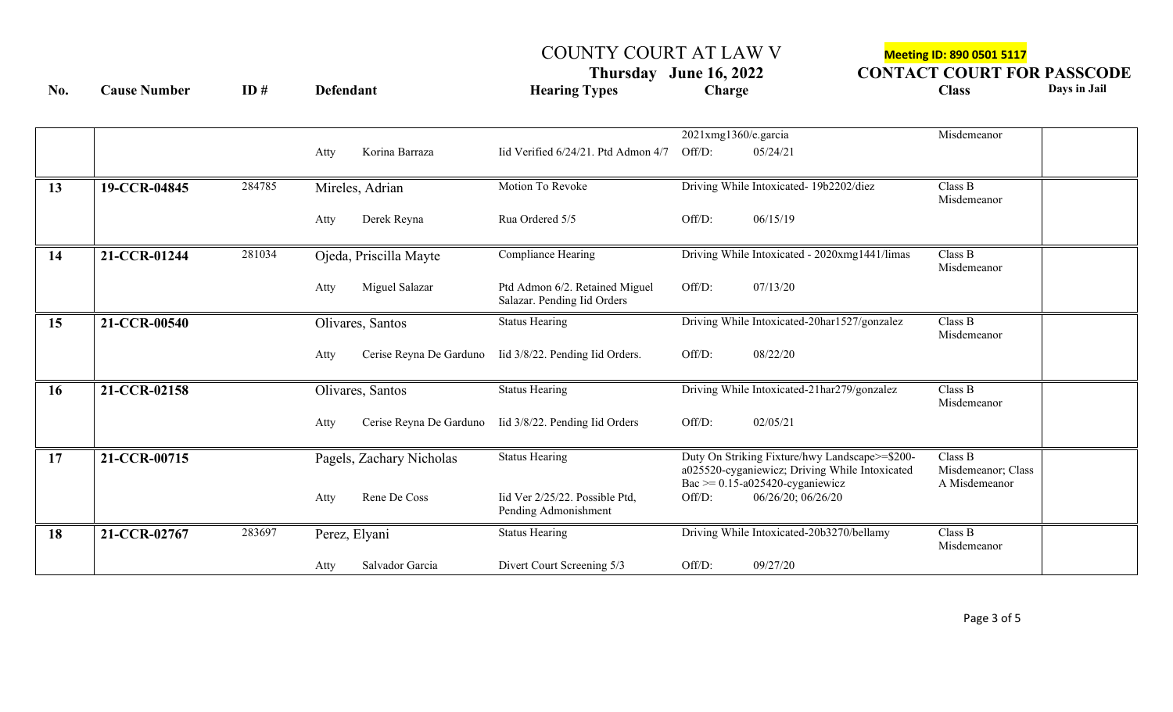COUNTY COURT AT LAW V<br> **COUNTY COURT AT LAW V**<br> **CONTACT COURT FO Thursday** June 16, 2022 **CONTACT COURT FOR PASSCODE**<br>Class Days in Jail **No. Cause Number ID # Defendant Hearing Types Charge Class Days in Jail**

|                 |              |        |               |                          |                                     | 2021xmg1360/e.garcia |                                                | Misdemeanor        |  |
|-----------------|--------------|--------|---------------|--------------------------|-------------------------------------|----------------------|------------------------------------------------|--------------------|--|
|                 |              |        | Atty          | Korina Barraza           | Iid Verified 6/24/21. Ptd Admon 4/7 | Off/D:               | 05/24/21                                       |                    |  |
|                 |              |        |               |                          |                                     |                      |                                                |                    |  |
|                 |              |        |               |                          |                                     |                      |                                                |                    |  |
| 13              | 19-CCR-04845 | 284785 |               | Mireles, Adrian          | Motion To Revoke                    |                      | Driving While Intoxicated- 19b2202/diez        | Class B            |  |
|                 |              |        |               |                          |                                     |                      |                                                | Misdemeanor        |  |
|                 |              |        | Atty          | Derek Reyna              | Rua Ordered 5/5                     | Off/D:               | 06/15/19                                       |                    |  |
|                 |              |        |               |                          |                                     |                      |                                                |                    |  |
|                 |              |        |               |                          |                                     |                      |                                                |                    |  |
| 14              | 21-CCR-01244 | 281034 |               | Ojeda, Priscilla Mayte   | Compliance Hearing                  |                      | Driving While Intoxicated - 2020xmg1441/limas  | Class B            |  |
|                 |              |        |               |                          |                                     |                      |                                                | Misdemeanor        |  |
|                 |              |        | Atty          | Miguel Salazar           | Ptd Admon 6/2. Retained Miguel      | Off/D:               | 07/13/20                                       |                    |  |
|                 |              |        |               |                          | Salazar. Pending Iid Orders         |                      |                                                |                    |  |
|                 |              |        |               |                          |                                     |                      |                                                |                    |  |
| 15              | 21-CCR-00540 |        |               | Olivares, Santos         | <b>Status Hearing</b>               |                      | Driving While Intoxicated-20har1527/gonzalez   | Class B            |  |
|                 |              |        |               |                          |                                     |                      |                                                | Misdemeanor        |  |
|                 |              |        | Atty          | Cerise Reyna De Garduno  | Iid 3/8/22. Pending Iid Orders.     | Off/D:               | 08/22/20                                       |                    |  |
|                 |              |        |               |                          |                                     |                      |                                                |                    |  |
|                 |              |        |               |                          | <b>Status Hearing</b>               |                      | Driving While Intoxicated-21har279/gonzalez    | Class B            |  |
| 16              | 21-CCR-02158 |        |               | Olivares, Santos         |                                     |                      |                                                | Misdemeanor        |  |
|                 |              |        |               |                          |                                     |                      |                                                |                    |  |
|                 |              |        | Atty          | Cerise Reyna De Garduno  | Iid 3/8/22. Pending Iid Orders      | Off/D:               | 02/05/21                                       |                    |  |
|                 |              |        |               |                          |                                     |                      |                                                |                    |  |
| $\overline{17}$ | 21-CCR-00715 |        |               | Pagels, Zachary Nicholas | <b>Status Hearing</b>               |                      | Duty On Striking Fixture/hwy Landscape>=\$200- | Class B            |  |
|                 |              |        |               |                          |                                     |                      | a025520-cyganiewicz; Driving While Intoxicated | Misdemeanor; Class |  |
|                 |              |        |               |                          |                                     |                      | Bac $\geq 0.15$ -a025420-cyganiewicz           | A Misdemeanor      |  |
|                 |              |        | Atty          | Rene De Coss             | Iid Ver 2/25/22. Possible Ptd,      | Off/D:               | 06/26/20; 06/26/20                             |                    |  |
|                 |              |        |               |                          | Pending Admonishment                |                      |                                                |                    |  |
|                 |              |        |               |                          |                                     |                      |                                                |                    |  |
| 18              | 21-CCR-02767 | 283697 | Perez, Elyani |                          | <b>Status Hearing</b>               |                      | Driving While Intoxicated-20b3270/bellamy      | Class B            |  |
|                 |              |        |               |                          |                                     |                      |                                                | Misdemeanor        |  |
|                 |              |        | Atty          | Salvador Garcia          | Divert Court Screening 5/3          | Off/D:               | 09/27/20                                       |                    |  |
|                 |              |        |               |                          |                                     |                      |                                                |                    |  |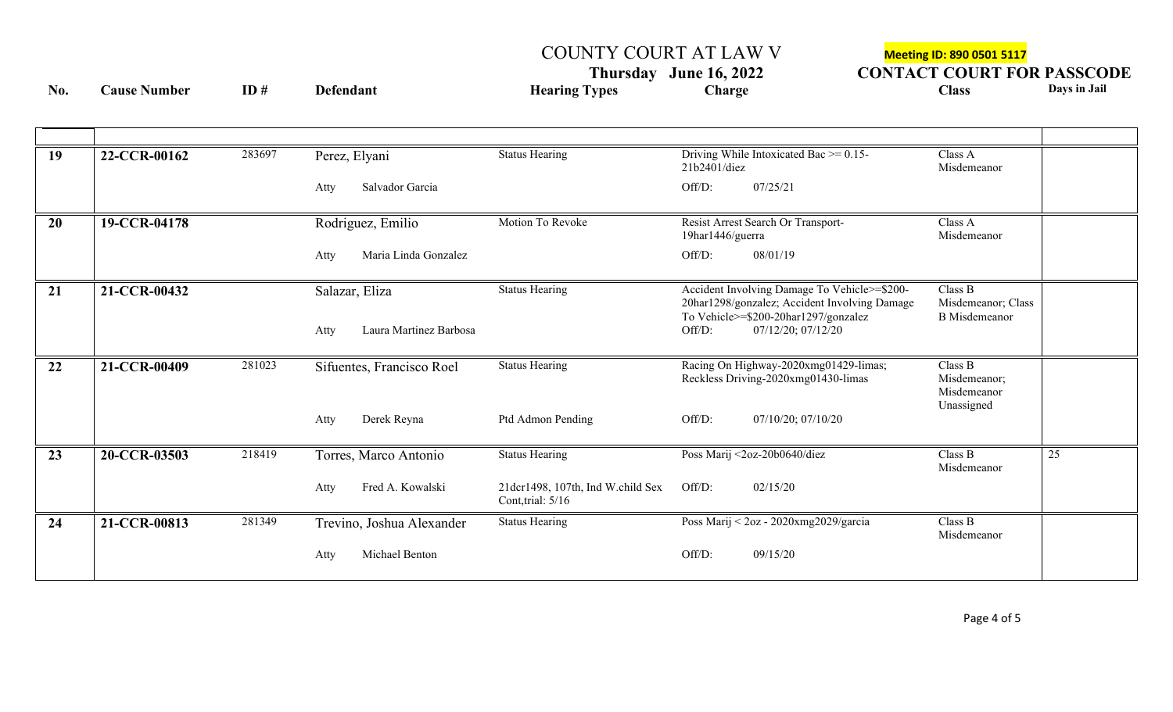COUNTY COURT AT LAW V<br> **Meeting ID: 890 0501 5117**<br> **CONTACT COURT FO. Thursday** June 16, 2022 **CONTACT COURT FOR PASSCODE**<br>Class Days in Jail

**No. Cause Number ID # Defendant Hearing Types Charge Class Days in Jail**

| 19 | 22-CCR-00162 | 283697 | Perez, Elyani                  | <b>Status Hearing</b>                                                      | Driving While Intoxicated Bac $\ge$ = 0.15-<br>21b2401/diez                                                                           | Class A<br>Misdemeanor                                |  |
|----|--------------|--------|--------------------------------|----------------------------------------------------------------------------|---------------------------------------------------------------------------------------------------------------------------------------|-------------------------------------------------------|--|
|    |              |        | Salvador Garcia<br>Atty        |                                                                            | Off/D:<br>07/25/21                                                                                                                    |                                                       |  |
| 20 | 19-CCR-04178 |        | Rodriguez, Emilio              | Motion To Revoke<br>Resist Arrest Search Or Transport-<br>19har1446/guerra |                                                                                                                                       | Class A<br>Misdemeanor                                |  |
|    |              |        | Maria Linda Gonzalez<br>Atty   |                                                                            | Off/D:<br>08/01/19                                                                                                                    |                                                       |  |
| 21 | 21-CCR-00432 |        | Salazar, Eliza                 | <b>Status Hearing</b>                                                      | Accident Involving Damage To Vehicle>=\$200-<br>20har1298/gonzalez; Accident Involving Damage<br>To Vehicle>=\$200-20har1297/gonzalez | Class B<br>Misdemeanor; Class<br><b>B</b> Misdemeanor |  |
|    |              |        | Laura Martinez Barbosa<br>Atty |                                                                            | 07/12/20; 07/12/20<br>Off/D:                                                                                                          |                                                       |  |
| 22 | 21-CCR-00409 | 281023 | Sifuentes, Francisco Roel      | <b>Status Hearing</b>                                                      | Racing On Highway-2020xmg01429-limas;<br>Reckless Driving-2020xmg01430-limas                                                          | Class B<br>Misdemeanor;<br>Misdemeanor<br>Unassigned  |  |
|    |              |        | Derek Reyna<br>Atty            | Ptd Admon Pending                                                          | Off/D:<br>07/10/20; 07/10/20                                                                                                          |                                                       |  |
| 23 | 20-CCR-03503 | 218419 | Torres, Marco Antonio          | <b>Status Hearing</b>                                                      | Poss Marij <2oz-20b0640/diez                                                                                                          | Class B<br>25<br>Misdemeanor                          |  |
|    |              |        | Fred A. Kowalski<br>Atty       | 21dcr1498, 107th, Ind W.child Sex<br>Cont, trial: $5/16$                   | Off/D:<br>02/15/20                                                                                                                    |                                                       |  |
| 24 | 21-CCR-00813 | 281349 | Trevino, Joshua Alexander      | <b>Status Hearing</b>                                                      | Poss Marij < 2oz - 2020xmg2029/garcia                                                                                                 | Class B<br>Misdemeanor                                |  |
|    |              |        | Michael Benton<br>Atty         |                                                                            | Off/D:<br>09/15/20                                                                                                                    |                                                       |  |